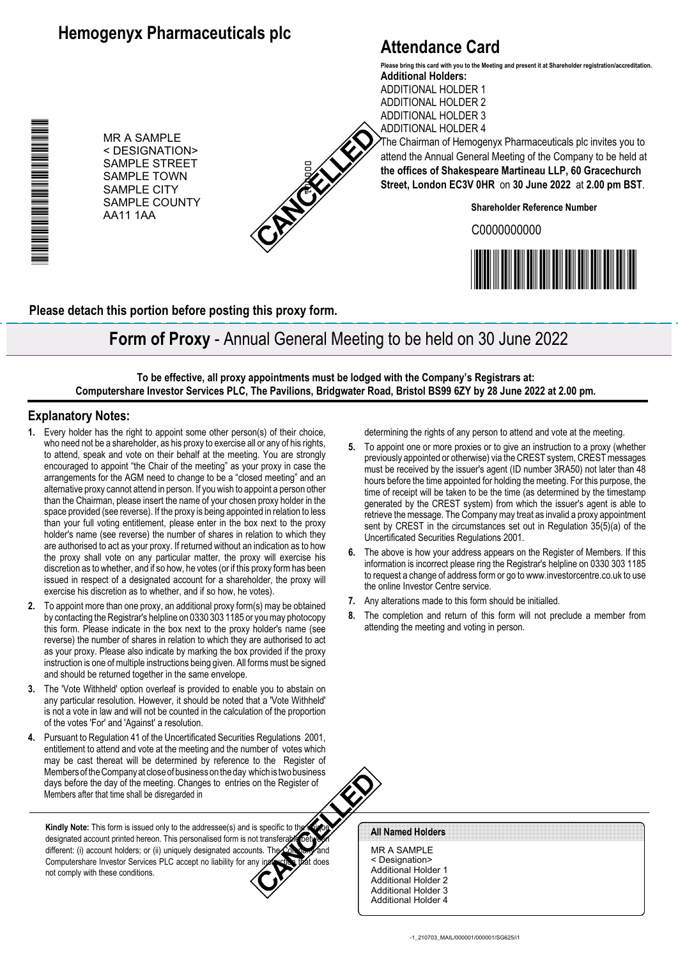## **Hemogenyx Pharmaceuticals plc**

## **Attendance Card**

ADDITIONAL HOLDER 2 ADDITIONAL HOLDER 3

**Additional Holders:** ADDITIONAL HOLDER 1 **Please bring this card with you to the Meeting and present it at Shareholder registration/accreditation.**

MR A SAMPLE < DESIGNATION> SAMPLE STREET SAMPLE TOWN SAMPLE CITY SAMPLE COUNTY AA11 1AA



ADDITIONAL HOLDER 4 The Chairman of Hemogenyx Pharmaceuticals plc invites you to attend the Annual General Meeting of the Company to be held at **the offices of Shakespeare Martineau LLP, 60 Gracechurch Street, London EC3V 0HR** on **30 June 2022** at **2.00 pm BST**.

**Shareholder Reference Number**

C0000000000



**Please detach this portion before posting this proxy form.**

**Form of Proxy** - Annual General Meeting to be held on 30 June 2022

**To be effective, all proxy appointments must be lodged with the Company's Registrars at: Computershare Investor Services PLC, The Pavilions, Bridgwater Road, Bristol BS99 6ZY by 28 June 2022 at 2.00 pm.**

## **Explanatory Notes:**

\*00000101010010\*

n de la regional de la construction de la construction de la construction de la construction de la constructio

- **1.** Every holder has the right to appoint some other person(s) of their choice, who need not be a shareholder, as his proxy to exercise all or any of his rights, to attend, speak and vote on their behalf at the meeting. You are strongly encouraged to appoint "the Chair of the meeting" as your proxy in case the arrangements for the AGM need to change to be a "closed meeting" and an alternative proxy cannot attend in person. If you wish to appoint a person other than the Chairman, please insert the name of your chosen proxy holder in the space provided (see reverse). If the proxy is being appointed in relation to less than your full voting entitlement, please enter in the box next to the proxy holder's name (see reverse) the number of shares in relation to which they are authorised to act as your proxy. If returned without an indication as to how the proxy shall vote on any particular matter, the proxy will exercise his discretion as to whether, and if so how, he votes (or if this proxy form has been issued in respect of a designated account for a shareholder, the proxy will exercise his discretion as to whether, and if so how, he votes).
- **2.** To appoint more than one proxy, an additional proxy form(s) may be obtained by contacting the Registrar's helpline on 0330 303 1185 or you may photocopy this form. Please indicate in the box next to the proxy holder's name (see reverse) the number of shares in relation to which they are authorised to act as your proxy. Please also indicate by marking the box provided if the proxy instruction is one of multiple instructions being given. All forms must be signed and should be returned together in the same envelope.
- **3.** The 'Vote Withheld' option overleaf is provided to enable you to abstain on any particular resolution. However, it should be noted that a 'Vote Withheld' is not a vote in law and will not be counted in the calculation of the proportion of the votes 'For' and 'Against' a resolution.
- **4.** Pursuant to Regulation 41 of the Uncertificated Securities Regulations 2001, entitlement to attend and vote at the meeting and the number of votes which may be cast thereat will be determined by reference to the Register of Members of the Company at close of business on the day which is two business days before the day of the meeting. Changes to entries on the Register of Members after that time shall be disregarded in

Kindly Note: This form is issued only to the addressee(s) and is specific to the designated account printed hereon. This personalised form is not transferable different: (i) account holders; or (ii) uniquely designated accounts. The Computershare Investor Services PLC accept no liability for any instruction that does not comply with these conditions.

determining the rights of any person to attend and vote at the meeting.

- **5.** To appoint one or more proxies or to give an instruction to a proxy (whether previously appointed or otherwise) via the CREST system, CREST messages must be received by the issuer's agent (ID number 3RA50) not later than 48 hours before the time appointed for holding the meeting. For this purpose, the time of receipt will be taken to be the time (as determined by the timestamp generated by the CREST system) from which the issuer's agent is able to retrieve the message. The Company may treat as invalid a proxy appointment sent by CREST in the circumstances set out in Regulation 35(5)(a) of the Uncertificated Securities Regulations 2001.
- **6.** The above is how your address appears on the Register of Members. If this information is incorrect please ring the Registrar's helpline on 0330 303 1185 to request a change of address form or go to www.investorcentre.co.uk to use the online Investor Centre service.
- **7.** Any alterations made to this form should be initialled.
- **8.** The completion and return of this form will not preclude a member from attending the meeting and voting in person.

All Named Holders

MR A SAMPLE < Designation> Additional Holder 1 Additional Holder 2 Additional Holder 3 Additional Holder 4